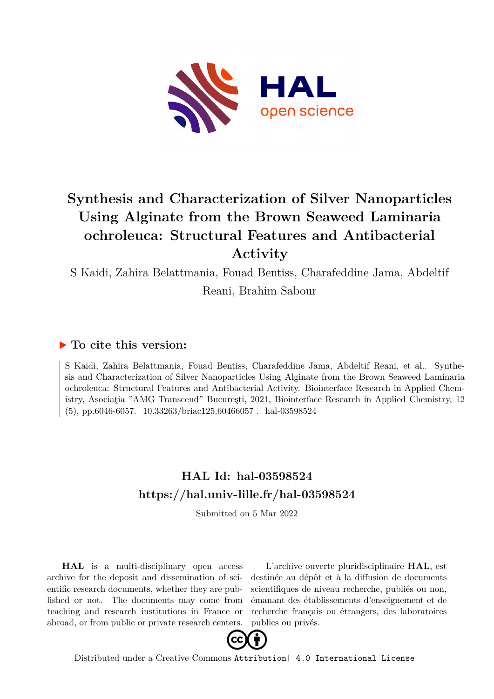

# **Synthesis and Characterization of Silver Nanoparticles Using Alginate from the Brown Seaweed Laminaria ochroleuca: Structural Features and Antibacterial Activity**

S Kaidi, Zahira Belattmania, Fouad Bentiss, Charafeddine Jama, Abdeltif Reani, Brahim Sabour

# **To cite this version:**

S Kaidi, Zahira Belattmania, Fouad Bentiss, Charafeddine Jama, Abdeltif Reani, et al.. Synthesis and Characterization of Silver Nanoparticles Using Alginate from the Brown Seaweed Laminaria ochroleuca: Structural Features and Antibacterial Activity. Biointerface Research in Applied Chemistry, Asociaţia "AMG Transcend" Bucureşti, 2021, Biointerface Research in Applied Chemistry, 12  $(5)$ , pp.6046-6057. 10.33263/briac125.60466057. hal-03598524

# **HAL Id: hal-03598524 <https://hal.univ-lille.fr/hal-03598524>**

Submitted on 5 Mar 2022

**HAL** is a multi-disciplinary open access archive for the deposit and dissemination of scientific research documents, whether they are published or not. The documents may come from teaching and research institutions in France or abroad, or from public or private research centers.

L'archive ouverte pluridisciplinaire **HAL**, est destinée au dépôt et à la diffusion de documents scientifiques de niveau recherche, publiés ou non, émanant des établissements d'enseignement et de recherche français ou étrangers, des laboratoires publics ou privés.



Distributed under a Creative Commons [Attribution| 4.0 International License](http://creativecommons.org/licenses/by/4.0/)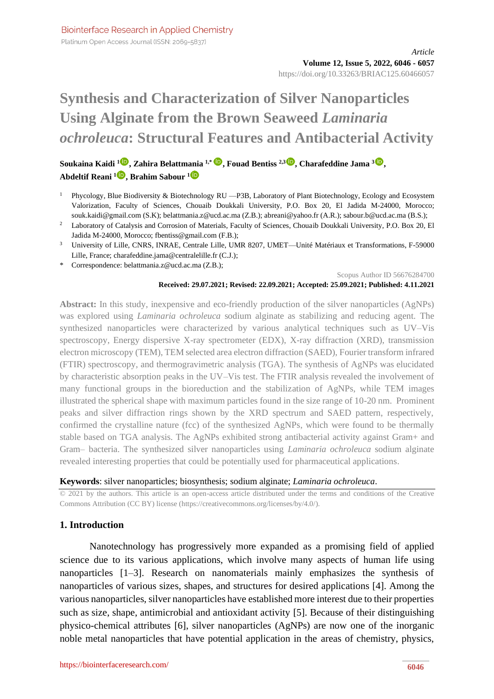Platinum Open Access Journal (ISSN: 2069-5837)

# **Synthesis and Characterization of Silver Nanoparticles Using Alginate from the Brown Seaweed** *Laminaria ochroleuca***: Structural Features and Antibacterial Activity**

**Soukaina Kaidi <sup>1</sup> [,](https://orcid.org/0000-0003-3016-8691) Zahira Belattmania 1,\* [,](https://orcid.org/0000-0003-1415-3625) Fouad Bentiss 2,3 [,](https://orcid.org/0000-0002-0016-422X) Charafeddine Jama <sup>3</sup> [,](https://orcid.org/0000-0001-5240-7804) Abdeltif Reani <sup>1</sup> [,](https://orcid.org/0000-0002-9380-3595) Brahim Sabour <sup>1</sup>**

- <sup>1</sup> Phycology, Blue Biodiversity & Biotechnology RU —P3B, Laboratory of Plant Biotechnology, Ecology and Ecosystem Valorization, Faculty of Sciences, Chouaib Doukkali University, P.O. Box 20, El Jadida M-24000, Morocco; souk.kaidi@gmail.com (S.K); belattmania.z@ucd.ac.ma (Z.B.); abreani@yahoo.fr (A.R.); sabour.b@ucd.ac.ma (B.S.);
- <sup>2</sup> Laboratory of Catalysis and Corrosion of Materials, Faculty of Sciences, Chouaib Doukkali University, P.O. Box 20, El Jadida M-24000, Morocco; fbentiss@gmail.com (F.B.);
- <sup>3</sup> University of Lille, CNRS, INRAE, Centrale Lille, UMR 8207, UMET—Unité Matériaux et Transformations, F-59000 Lille, France; charafeddine.jama@centralelille.fr (C.J.);
- \* Correspondence: belattmania.z@ucd.ac.ma (Z.B.);

Scopus Author ID 56676284700

#### **Received: 29.07.2021; Revised: 22.09.2021; Accepted: 25.09.2021; Published: 4.11.2021**

**Abstract:** In this study, inexpensive and eco-friendly production of the silver nanoparticles (AgNPs) was explored using *Laminaria ochroleuca* sodium alginate as stabilizing and reducing agent. The synthesized nanoparticles were characterized by various analytical techniques such as UV–Vis spectroscopy, Energy dispersive X-ray spectrometer (EDX), X-ray diffraction (XRD), transmission electron microscopy (TEM), TEM selected area electron diffraction (SAED), Fourier transform infrared (FTIR) spectroscopy, and thermogravimetric analysis (TGA). The synthesis of AgNPs was elucidated by characteristic absorption peaks in the UV–Vis test. The FTIR analysis revealed the involvement of many functional groups in the bioreduction and the stabilization of AgNPs, while TEM images illustrated the spherical shape with maximum particles found in the size range of 10-20 nm. Prominent peaks and silver diffraction rings shown by the XRD spectrum and SAED pattern, respectively, confirmed the crystalline nature (fcc) of the synthesized AgNPs, which were found to be thermally stable based on TGA analysis. The AgNPs exhibited strong antibacterial activity against Gram+ and Gram– bacteria. The synthesized silver nanoparticles using *Laminaria ochroleuca* sodium alginate revealed interesting properties that could be potentially used for pharmaceutical applications.

#### **Keywords**: silver nanoparticles; biosynthesis; sodium alginate; *Laminaria ochroleuca*.

© 2021 by the authors. This article is an open-access article distributed under the terms and conditions of the Creative Commons Attribution (CC BY) license [\(https://creativecommons.org/licenses/by/4.0/\)](https://creativecommons.org/licenses/by/4.0/).

# **1. Introduction**

Nanotechnology has progressively more expanded as a promising field of applied science due to its various applications, which involve many aspects of human life using nanoparticles [1–3]. Research on nanomaterials mainly emphasizes the synthesis of nanoparticles of various sizes, shapes, and structures for desired applications [4]. Among the various nanoparticles, silver nanoparticles have established more interest due to their properties such as size, shape, antimicrobial and antioxidant activity [5]. Because of their distinguishing physico-chemical attributes [6], silver nanoparticles (AgNPs) are now one of the inorganic noble metal nanoparticles that have potential application in the areas of chemistry, physics,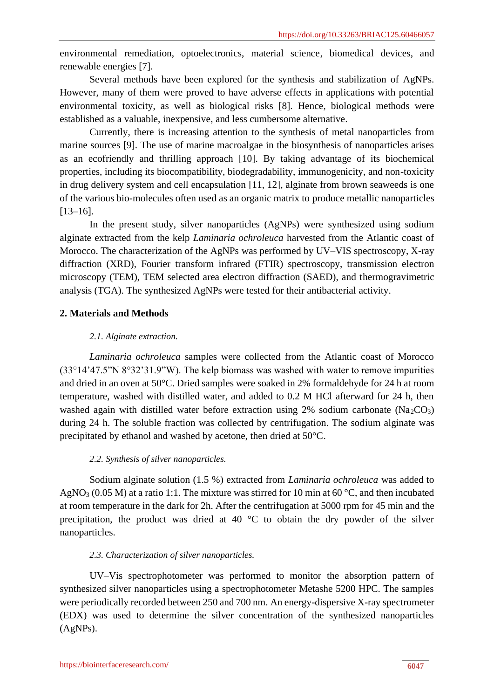environmental remediation, optoelectronics, material science, biomedical devices, and renewable energies [7].

Several methods have been explored for the synthesis and stabilization of AgNPs. However, many of them were proved to have adverse effects in applications with potential environmental toxicity, as well as biological risks [8]. Hence, biological methods were established as a valuable, inexpensive, and less cumbersome alternative.

Currently, there is increasing attention to the synthesis of metal nanoparticles from marine sources [9]. The use of marine macroalgae in the biosynthesis of nanoparticles arises as an ecofriendly and thrilling approach [10]. By taking advantage of its biochemical properties, including its biocompatibility, biodegradability, immunogenicity, and non-toxicity in drug delivery system and cell encapsulation [11, 12], alginate from brown seaweeds is one of the various bio-molecules often used as an organic matrix to produce metallic nanoparticles [13–16].

In the present study, silver nanoparticles (AgNPs) were synthesized using sodium alginate extracted from the kelp *Laminaria ochroleuca* harvested from the Atlantic coast of Morocco. The characterization of the AgNPs was performed by UV–VIS spectroscopy, X-ray diffraction (XRD), Fourier transform infrared (FTIR) spectroscopy, transmission electron microscopy (TEM), TEM selected area electron diffraction (SAED), and thermogravimetric analysis (TGA). The synthesized AgNPs were tested for their antibacterial activity.

# **2. Materials and Methods**

# *2.1. Alginate extraction.*

*Laminaria ochroleuca* samples were collected from the Atlantic coast of Morocco (33°14'47.5"N 8°32'31.9"W). The kelp biomass was washed with water to remove impurities and dried in an oven at 50°C. Dried samples were soaked in 2% formaldehyde for 24 h at room temperature, washed with distilled water, and added to 0.2 M HCl afterward for 24 h, then washed again with distilled water before extraction using 2% sodium carbonate  $(Na_2CO_3)$ during 24 h. The soluble fraction was collected by centrifugation. The sodium alginate was precipitated by ethanol and washed by acetone, then dried at 50°C.

# *2.2. Synthesis of silver nanoparticles.*

Sodium alginate solution (1.5 %) extracted from *Laminaria ochroleuca* was added to AgNO<sub>3</sub> (0.05 M) at a ratio 1:1. The mixture was stirred for 10 min at 60 °C, and then incubated at room temperature in the dark for 2h. After the centrifugation at 5000 rpm for 45 min and the precipitation, the product was dried at 40 °C to obtain the dry powder of the silver nanoparticles.

# *2.3. Characterization of silver nanoparticles.*

UV–Vis spectrophotometer was performed to monitor the absorption pattern of synthesized silver nanoparticles using a spectrophotometer Metashe 5200 HPC. The samples were periodically recorded between 250 and 700 nm. An energy-dispersive X-ray spectrometer (EDX) was used to determine the silver concentration of the synthesized nanoparticles (AgNPs).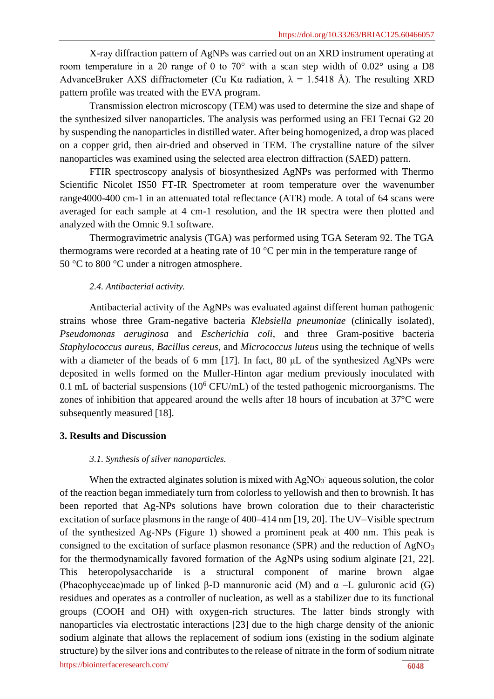X-ray diffraction pattern of AgNPs was carried out on an XRD instrument operating at room temperature in a 2θ range of 0 to 70° with a scan step width of 0.02° using a D8 AdvanceBruker AXS diffractometer (Cu Kα radiation,  $\lambda = 1.5418$  Å). The resulting XRD pattern profile was treated with the EVA program.

Transmission electron microscopy (TEM) was used to determine the size and shape of the synthesized silver nanoparticles. The analysis was performed using an FEI Tecnai G2 20 by suspending the nanoparticles in distilled water. After being homogenized, a drop was placed on a copper grid, then air-dried and observed in TEM. The crystalline nature of the silver nanoparticles was examined using the selected area electron diffraction (SAED) pattern.

FTIR spectroscopy analysis of biosynthesized AgNPs was performed with Thermo Scientific Nicolet IS50 FT-IR Spectrometer at room temperature over the wavenumber range4000-400 cm-1 in an attenuated total reflectance (ATR) mode. A total of 64 scans were averaged for each sample at 4 cm-1 resolution, and the IR spectra were then plotted and analyzed with the Omnic 9.1 software.

Thermogravimetric analysis (TGA) was performed using TGA Seteram 92. The TGA thermograms were recorded at a heating rate of 10 °C per min in the temperature range of 50 °C to 800 °C under a nitrogen atmosphere.

#### *2.4. Antibacterial activity.*

Antibacterial activity of the AgNPs was evaluated against different human pathogenic strains whose three Gram-negative bacteria *Klebsiella pneumoniae* (clinically isolated)*, Pseudomonas aeruginosa* and *Escherichia coli*, and three Gram-positive bacteria *Staphylococcus aureus*, *Bacillus cereus*, and *Micrococcus luteus* using the technique of wells with a diameter of the beads of 6 mm [17]. In fact, 80 μL of the synthesized AgNPs were deposited in wells formed on the Muller-Hinton agar medium previously inoculated with 0.1 mL of bacterial suspensions  $(10^6 \text{CFU/mL})$  of the tested pathogenic microorganisms. The zones of inhibition that appeared around the wells after 18 hours of incubation at 37°C were subsequently measured [18].

#### **3. Results and Discussion**

#### *3.1. Synthesis of silver nanoparticles.*

<https://biointerfaceresearch.com/> **6048** When the extracted alginates solution is mixed with  $AgNO<sub>3</sub>$  aqueous solution, the color of the reaction began immediately turn from colorless to yellowish and then to brownish. It has been reported that Ag-NPs solutions have brown coloration due to their characteristic excitation of surface plasmons in the range of 400–414 nm [19, 20]. The UV–Visible spectrum of the synthesized Ag-NPs (Figure 1) showed a prominent peak at 400 nm. This peak is consigned to the excitation of surface plasmon resonance (SPR) and the reduction of AgNO<sub>3</sub> for the thermodynamically favored formation of the AgNPs using sodium alginate [21, 22]. This heteropolysaccharide is a structural component of marine brown algae (Phaeophyceae)made up of linked β-D mannuronic acid (M) and  $\alpha$  –L guluronic acid (G) residues and operates as a controller of nucleation, as well as a stabilizer due to its functional groups (COOH and OH) with oxygen-rich structures. The latter binds strongly with nanoparticles via electrostatic interactions [23] due to the high charge density of the anionic sodium alginate that allows the replacement of sodium ions (existing in the sodium alginate structure) by the silver ions and contributes to the release of nitrate in the form of sodium nitrate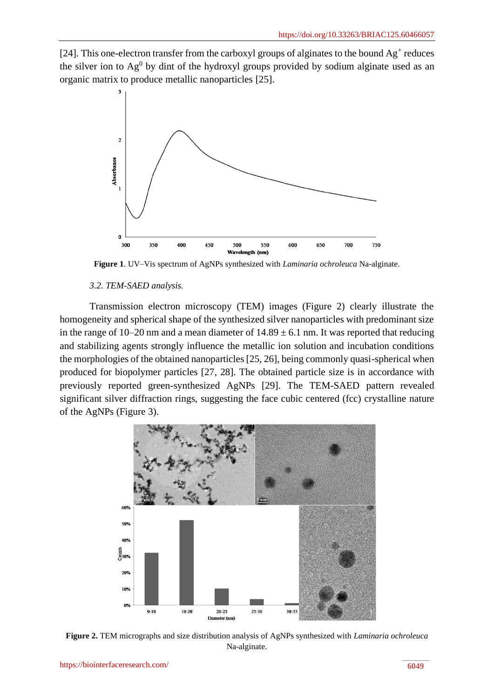[24]. This one-electron transfer from the carboxyl groups of alginates to the bound  $Ag^+$  reduces the silver ion to  $Ag^{0}$  by dint of the hydroxyl groups provided by sodium alginate used as an organic matrix to produce metallic nanoparticles [25].



**Figure 1**. UV–Vis spectrum of AgNPs synthesized with *Laminaria ochroleuca* Na-alginate.

#### *3.2. TEM-SAED analysis.*

Transmission electron microscopy (TEM) images (Figure 2) clearly illustrate the homogeneity and spherical shape of the synthesized silver nanoparticles with predominant size in the range of 10–20 nm and a mean diameter of  $14.89 \pm 6.1$  nm. It was reported that reducing and stabilizing agents strongly influence the metallic ion solution and incubation conditions the morphologies of the obtained nanoparticles [25, 26], being commonly quasi-spherical when produced for biopolymer particles [27, 28]. The obtained particle size is in accordance with previously reported green-synthesized AgNPs [29]. The TEM-SAED pattern revealed significant silver diffraction rings, suggesting the face cubic centered (fcc) crystalline nature of the AgNPs (Figure 3).



**Figure 2.** TEM micrographs and size distribution analysis of AgNPs synthesized with *Laminaria ochroleuca* Na-alginate.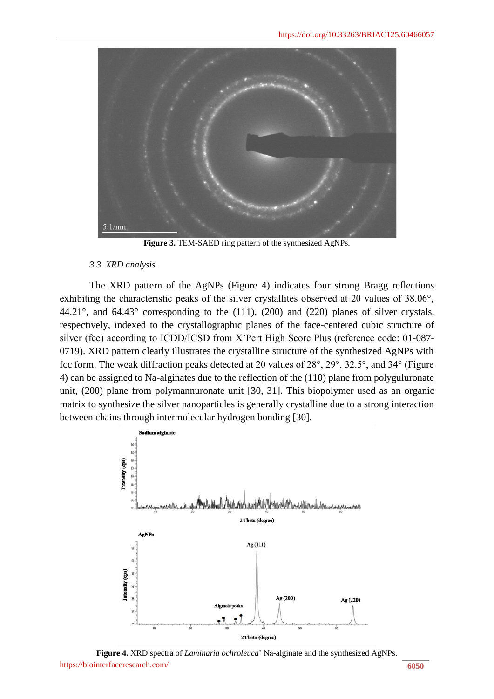

**Figure 3.** TEM-SAED ring pattern of the synthesized AgNPs.

#### *3.3. XRD analysis.*

The XRD pattern of the AgNPs (Figure 4) indicates four strong Bragg reflections exhibiting the characteristic peaks of the silver crystallites observed at 2θ values of 38.06°, 44.21°, and 64.43° corresponding to the (111), (200) and (220) planes of silver crystals, respectively, indexed to the crystallographic planes of the face-centered cubic structure of silver (fcc) according to ICDD/ICSD from X'Pert High Score Plus (reference code: 01-087- 0719). XRD pattern clearly illustrates the crystalline structure of the synthesized AgNPs with fcc form. The weak diffraction peaks detected at 2θ values of 28°, 29°, 32.5°, and 34° (Figure 4) can be assigned to Na-alginates due to the reflection of the (110) plane from polyguluronate unit, (200) plane from polymannuronate unit [30, 31]. This biopolymer used as an organic matrix to synthesize the silver nanoparticles is generally crystalline due to a strong interaction between chains through intermolecular hydrogen bonding [30].



<https://biointerfaceresearch.com/> **6050 Figure 4.** XRD spectra of *Laminaria ochroleuca*' Na-alginate and the synthesized AgNPs.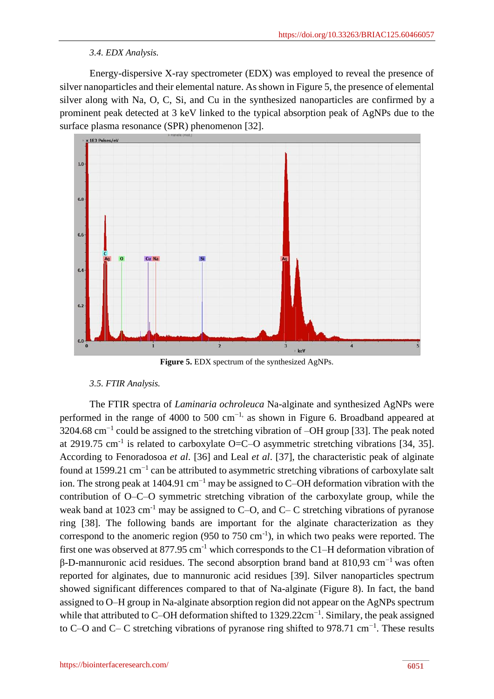# *3.4. EDX Analysis.*

Energy-dispersive X-ray spectrometer (EDX) was employed to reveal the presence of silver nanoparticles and their elemental nature. As shown in Figure 5, the presence of elemental silver along with Na, O, C, Si, and Cu in the synthesized nanoparticles are confirmed by a prominent peak detected at 3 keV linked to the typical absorption peak of AgNPs due to the surface plasma resonance (SPR) phenomenon [32].



**Figure 5.** EDX spectrum of the synthesized AgNPs.

# *3.5. FTIR Analysis.*

The FTIR spectra of *Laminaria ochroleuca* Na-alginate and synthesized AgNPs were performed in the range of 4000 to 500 cm<sup>-1,</sup> as shown in Figure 6. Broadband appeared at 3204.68 cm<sup>-1</sup> could be assigned to the stretching vibration of -OH group [33]. The peak noted at 2919.75 cm<sup>-1</sup> is related to carboxylate O=C–O asymmetric stretching vibrations [34, 35]. According to Fenoradosoa *et al*. [36] and Leal *et al*. [37], the characteristic peak of alginate found at 1599.21  $cm^{-1}$  can be attributed to asymmetric stretching vibrations of carboxylate salt ion. The strong peak at 1404.91 cm−1 may be assigned to C–OH deformation vibration with the contribution of O–C–O symmetric stretching vibration of the carboxylate group, while the weak band at 1023 cm<sup>-1</sup> may be assigned to C–O, and C– C stretching vibrations of pyranose ring [38]. The following bands are important for the alginate characterization as they correspond to the anomeric region  $(950 \text{ to } 750 \text{ cm}^{-1})$ , in which two peaks were reported. The first one was observed at  $877.95 \text{ cm}^{-1}$  which corresponds to the C1–H deformation vibration of β-D-mannuronic acid residues. The second absorption brand band at 810,93 cm−1 was often reported for alginates, due to mannuronic acid residues [39]. Silver nanoparticles spectrum showed significant differences compared to that of Na-alginate (Figure 8). In fact, the band assigned to O–H group in Na-alginate absorption region did not appear on the AgNPs spectrum while that attributed to C–OH deformation shifted to 1329.22cm<sup>-1</sup>. Similary, the peak assigned to C–O and C– C stretching vibrations of pyranose ring shifted to 978.71 cm<sup>-1</sup>. These results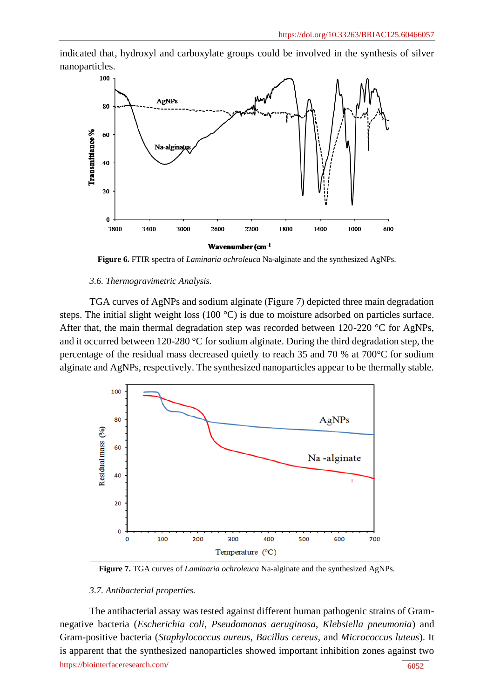indicated that, hydroxyl and carboxylate groups could be involved in the synthesis of silver nanoparticles.



**Figure 6.** FTIR spectra of *Laminaria ochroleuca* Na-alginate and the synthesized AgNPs.

#### *3.6. Thermogravimetric Analysis.*

TGA curves of AgNPs and sodium alginate (Figure 7) depicted three main degradation steps. The initial slight weight loss (100 °C) is due to moisture adsorbed on particles surface. After that, the main thermal degradation step was recorded between 120-220 °C for AgNPs, and it occurred between 120-280 °C for sodium alginate. During the third degradation step, the percentage of the residual mass decreased quietly to reach 35 and 70 % at 700°C for sodium alginate and AgNPs, respectively. The synthesized nanoparticles appear to be thermally stable.



**Figure 7.** TGA curves of *Laminaria ochroleuca* Na-alginate and the synthesized AgNPs.

#### *3.7. Antibacterial properties.*

<https://biointerfaceresearch.com/> **6052** The antibacterial assay was tested against different human pathogenic strains of Gramnegative bacteria (*Escherichia coli*, *Pseudomonas aeruginosa*, *Klebsiella pneumonia*) and Gram-positive bacteria (*Staphylococcus aureus*, *Bacillus cereus*, and *Micrococcus luteus*). It is apparent that the synthesized nanoparticles showed important inhibition zones against two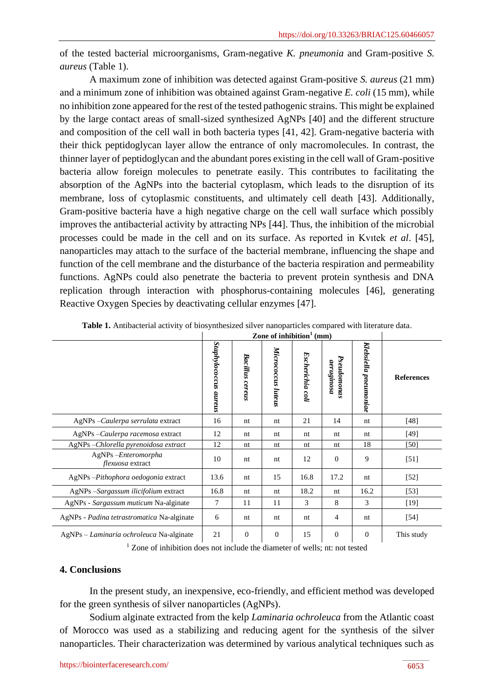of the tested bacterial microorganisms, Gram-negative *K. pneumonia* and Gram-positive *S. aureus* (Table 1).

A maximum zone of inhibition was detected against Gram-positive *S. aureus* (21 mm) and a minimum zone of inhibition was obtained against Gram-negative *E. coli* (15 mm), while no inhibition zone appeared for the rest of the tested pathogenic strains. This might be explained by the large contact areas of small-sized synthesized AgNPs [40] and the different structure and composition of the cell wall in both bacteria types [41, 42]. Gram-negative bacteria with their thick peptidoglycan layer allow the entrance of only macromolecules. In contrast, the thinner layer of peptidoglycan and the abundant pores existing in the cell wall of Gram-positive bacteria allow foreign molecules to penetrate easily. This contributes to facilitating the absorption of the AgNPs into the bacterial cytoplasm, which leads to the disruption of its membrane, loss of cytoplasmic constituents, and ultimately cell death [43]. Additionally, Gram-positive bacteria have a high negative charge on the cell wall surface which possibly improves the antibacterial activity by attracting NPs [44]. Thus, the inhibition of the microbial processes could be made in the cell and on its surface. As reported in Kvıtek *et al*. [45], nanoparticles may attach to the surface of the bacterial membrane, influencing the shape and function of the cell membrane and the disturbance of the bacteria respiration and permeability functions. AgNPs could also penetrate the bacteria to prevent protein synthesis and DNA replication through interaction with phosphorus-containing molecules [46], generating Reactive Oxygen Species by deactivating cellular enzymes [47].

|                                            | Zone of inhibition <sup>1</sup> (mm) |                 |                       |                  |                           |                       |                   |
|--------------------------------------------|--------------------------------------|-----------------|-----------------------|------------------|---------------------------|-----------------------|-------------------|
|                                            | Staphylococcus aureus                | Bacillus cereus | Micrococcus<br>luteus | Escherichia coli | Pseudomonas<br>aeruginosa | Klebsiella pneumoniae | <b>References</b> |
| AgNPs - Caulerpa serrulata extract         | 16                                   | nt              | nt                    | 21               | 14                        | nt                    | [48]              |
| AgNPs - Caulerpa racemosa extract          | 12                                   | nt              | nt                    | nt               | nt                        | nt                    | [49]              |
| AgNPs-Chlorella pyrenoidosa extract        | 12                                   | nt              | nt                    | nt               | nt                        | 18                    | [50]              |
| AgNPs-Enteromorpha<br>flexuosa extract     | 10                                   | nt              | nt                    | 12               | $\theta$                  | 9                     | $[51]$            |
| AgNPs - Pithophora oedogonia extract       | 13.6                                 | nt              | 15                    | 16.8             | 17.2                      | nt                    | $[52]$            |
| AgNPs -Sargassum ilicifolium extract       | 16.8                                 | nt              | nt                    | 18.2             | nt                        | 16.2                  | $\left[53\right]$ |
| AgNPs - Sargassum muticum Na-alginate      | 7                                    | 11              | 11                    | 3                | 8                         | 3                     | $[19]$            |
| AgNPs - Padina tetrastromatica Na-alginate | 6                                    | nt              | nt                    | nt               | 4                         | nt                    | [54]              |
| AgNPs – Laminaria ochroleuca Na-alginate   | 21                                   | $\mathbf{0}$    | $\mathbf{0}$          | 15               | $\mathbf{0}$              | $\theta$              | This study        |

**Table 1.** Antibacterial activity of biosynthesized silver nanoparticles compared with literature data.

<sup>1</sup> Zone of inhibition does not include the diameter of wells; nt: not tested

# **4. Conclusions**

In the present study, an inexpensive, eco-friendly, and efficient method was developed for the green synthesis of silver nanoparticles (AgNPs).

Sodium alginate extracted from the kelp *Laminaria ochroleuca* from the Atlantic coast of Morocco was used as a stabilizing and reducing agent for the synthesis of the silver nanoparticles. Their characterization was determined by various analytical techniques such as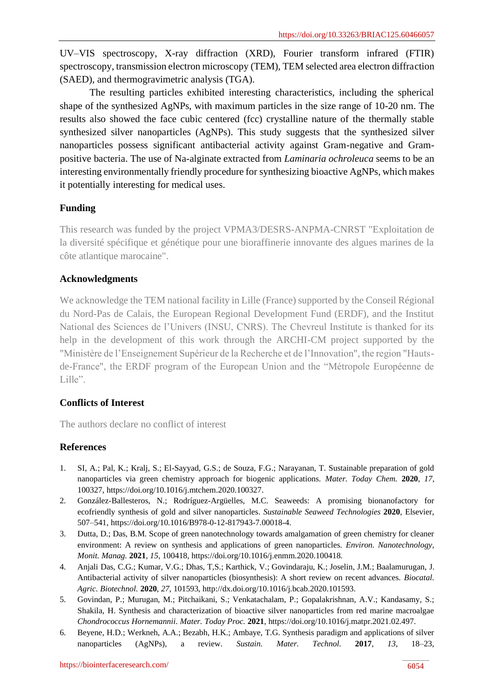UV–VIS spectroscopy, X-ray diffraction (XRD), Fourier transform infrared (FTIR) spectroscopy, transmission electron microscopy (TEM), TEM selected area electron diffraction (SAED), and thermogravimetric analysis (TGA).

The resulting particles exhibited interesting characteristics, including the spherical shape of the synthesized AgNPs, with maximum particles in the size range of 10-20 nm. The results also showed the face cubic centered (fcc) crystalline nature of the thermally stable synthesized silver nanoparticles (AgNPs). This study suggests that the synthesized silver nanoparticles possess significant antibacterial activity against Gram-negative and Grampositive bacteria. The use of Na-alginate extracted from *Laminaria ochroleuca* seems to be an interesting environmentally friendly procedure for synthesizing bioactive AgNPs, which makes it potentially interesting for medical uses.

# **Funding**

This research was funded by the project VPMA3/DESRS-ANPMA-CNRST "Exploitation de la diversité spécifique et génétique pour une bioraffinerie innovante des algues marines de la côte atlantique marocaine".

# **Acknowledgments**

We acknowledge the TEM national facility in Lille (France) supported by the Conseil Régional du Nord-Pas de Calais, the European Regional Development Fund (ERDF), and the Institut National des Sciences de l'Univers (INSU, CNRS). The Chevreul Institute is thanked for its help in the development of this work through the ARCHI-CM project supported by the "Ministère de l'Enseignement Supérieur de la Recherche et de l'Innovation", the region "Hautsde-France", the ERDF program of the European Union and the "Métropole Européenne de Lille".

# **Conflicts of Interest**

The authors declare no conflict of interest

# **References**

- 1. SI, A.; Pal, K.; Kralj, S.; El-Sayyad, G.S.; de Souza, F.G.; Narayanan, T. Sustainable preparation of gold nanoparticles via green chemistry approach for biogenic applications. *Mater. Today Chem.* **2020**, *17*, 100327, [https://doi.org/10.1016/j.mtchem.2020.100327.](https://doi.org/10.1016/j.mtchem.2020.100327)
- 2. González-Ballesteros, N.; Rodríguez-Argüelles, M.C. Seaweeds: A promising bionanofactory for ecofriendly synthesis of gold and silver nanoparticles. *Sustainable Seaweed Technologies* **2020**, Elsevier, 507–541, [https://doi.org/10.1016/B978-0-12-817943-7.00018-4.](https://doi.org/10.1016/B978-0-12-817943-7.00018-4)
- 3. Dutta, D.; Das, B.M. Scope of green nanotechnology towards amalgamation of green chemistry for cleaner environment: A review on synthesis and applications of green nanoparticles. *Environ. Nanotechnology, Monit. Manag.* **2021**, *15*, 100418[, https://doi.org/10.1016/j.enmm.2020.100418.](https://doi.org/10.1016/j.enmm.2020.100418)
- 4. Anjali Das, C.G.; Kumar, V.G.; Dhas, T,S.; Karthick, V.; Govindaraju, K.; Joselin, J.M.; Baalamurugan, J. Antibacterial activity of silver nanoparticles (biosynthesis): A short review on recent advances. *Biocatal. Agric. Biotechnol.* **2020**, *27*, 101593, [http://dx.doi.org/10.1016/j.bcab.2020.101593.](http://dx.doi.org/10.1016/j.bcab.2020.101593)
- 5. Govindan, P.; Murugan, M.; Pitchaikani, S.; Venkatachalam, P.; Gopalakrishnan, A.V.; Kandasamy, S.; Shakila, H. Synthesis and characterization of bioactive silver nanoparticles from red marine macroalgae *Chondrococcus Hornemannii*. *Mater. Today Proc.* **2021**, [https://doi.org/10.1016/j.matpr.2021.02.497.](https://doi.org/10.1016/j.matpr.2021.02.497)
- 6. Beyene, H.D.; Werkneh, A.A.; Bezabh, H.K.; Ambaye, T.G. Synthesis paradigm and applications of silver nanoparticles (AgNPs), a review. *Sustain. Mater. Technol.* **2017**, *13*, 18–23,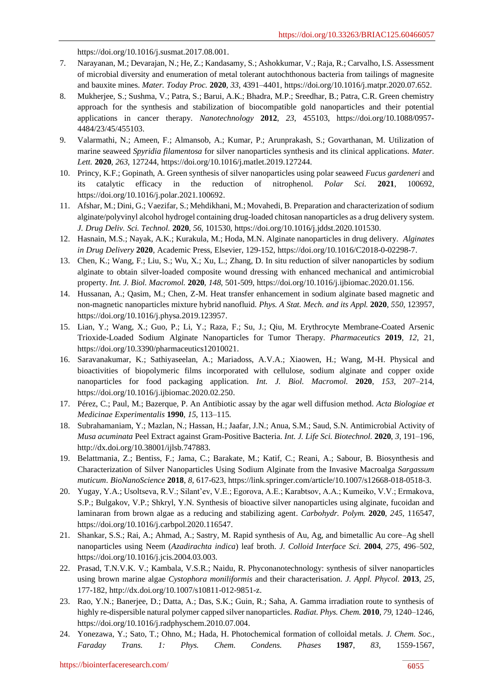[https://doi.org/10.1016/j.susmat.2017.08.001.](https://doi.org/10.1016/j.susmat.2017.08.001)

- 7. Narayanan, M.; Devarajan, N.; He, Z.; Kandasamy, S.; Ashokkumar, V.; Raja, R.; Carvalho, I.S. Assessment of microbial diversity and enumeration of metal tolerant autochthonous bacteria from tailings of magnesite and bauxite mines. *Mater. Today Proc.* **2020**, *33*, 4391–4401[, https://doi.org/10.1016/j.matpr.2020.07.652.](https://doi.org/10.1016/j.matpr.2020.07.652)
- 8. Mukherjee, S.; Sushma, V.; Patra, S.; Barui, A.K.; Bhadra, M.P.; Sreedhar, B.; Patra, C.R. Green chemistry approach for the synthesis and stabilization of biocompatible gold nanoparticles and their potential applications in cancer therapy. *Nanotechnology* **2012**, *23*, 455103, [https://doi.org/10.1088/0957-](https://doi.org/10.1088/0957-4484/23/45/455103) [4484/23/45/455103.](https://doi.org/10.1088/0957-4484/23/45/455103)
- 9. Valarmathi, N.; Ameen, F.; Almansob, A.; Kumar, P.; Arunprakash, S.; Govarthanan, M. Utilization of marine seaweed *Spyridia filamentosa* for silver nanoparticles synthesis and its clinical applications. *Mater. Lett.* **2020**, *263*, 127244, [https://doi.org/10.1016/j.matlet.2019.127244.](https://doi.org/10.1016/j.matlet.2019.127244)
- 10. Princy, K.F.; Gopinath, A. Green synthesis of silver nanoparticles using polar seaweed *Fucus gardeneri* and its catalytic efficacy in the reduction of nitrophenol. *Polar Sci.* **2021**, 100692, [https://doi.org/10.1016/j.polar.2021.100692.](https://doi.org/10.1016/j.polar.2021.100692)
- 11. Afshar, M.; Dini, G.; Vaezifar, S.; Mehdikhani, M.; Movahedi, B. Preparation and characterization of sodium alginate/polyvinyl alcohol hydrogel containing drug-loaded chitosan nanoparticles as a drug delivery system. *J. Drug Deliv. Sci. Technol.* **2020**, *56*, 101530[, https://doi.org/10.1016/j.jddst.2020.101530.](https://doi.org/10.1016/j.jddst.2020.101530)
- 12. Hasnain, M.S.; Nayak, A.K.; Kurakula, M.; Hoda, M.N. Alginate nanoparticles in drug delivery. *Alginates in Drug Delivery* **2020**, Academic Press, Elsevier, 129-152, [https://doi.org/10.1016/C2018-0-02298-7.](https://doi.org/10.1016/C2018-0-02298-7)
- 13. Chen, K.; Wang, F.; Liu, S.; Wu, X.; Xu, L.; Zhang, D. In situ reduction of silver nanoparticles by sodium alginate to obtain silver-loaded composite wound dressing with enhanced mechanical and antimicrobial property. *Int. J. Biol. Macromol.* **2020**, *148*, 501-509, [https://doi.org/10.1016/j.ijbiomac.2020.01.156.](https://doi.org/10.1016/j.ijbiomac.2020.01.156)
- 14. Hussanan, A.; Qasim, M.; Chen, Z-M. Heat transfer enhancement in sodium alginate based magnetic and non-magnetic nanoparticles mixture hybrid nanofluid. *Phys. A Stat. Mech. and its Appl.* **2020**, *550*, 123957, [https://doi.org/10.1016/j.physa.2019.123957.](https://doi.org/10.1016/j.physa.2019.123957)
- 15. Lian, Y.; Wang, X.; Guo, P.; Li, Y.; Raza, F.; Su, J.; Qiu, M. Erythrocyte Membrane-Coated Arsenic Trioxide-Loaded Sodium Alginate Nanoparticles for Tumor Therapy. *Pharmaceutics* **2019**, *12*, 21, [https://doi.org/10.3390/pharmaceutics12010021.](https://doi.org/10.3390/pharmaceutics12010021)
- 16. Saravanakumar, K.; Sathiyaseelan, A.; Mariadoss, A.V.A.; Xiaowen, H.; Wang, M-H. Physical and bioactivities of biopolymeric films incorporated with cellulose, sodium alginate and copper oxide nanoparticles for food packaging application. *Int. J. Biol. Macromol.* **2020**, *153*, 207–214, [https://doi.org/10.1016/j.ijbiomac.2020.02.250.](https://doi.org/10.1016/j.ijbiomac.2020.02.250)
- 17. Pérez, C.; Paul, M.; Bazerque, P. An Antibiotic assay by the agar well diffusion method. *Acta Biologiae et Medicinae Experimentalis* **1990**, *15*, 113–115.
- 18. Subrahamaniam, Y.; Mazlan, N.; Hassan, H.; Jaafar, J.N.; Anua, S.M.; Saud, S.N. Antimicrobial Activity of *Musa acuminata* Peel Extract against Gram-Positive Bacteria. *Int. J. Life Sci. Biotechnol.* **2020**, *3*, 191–196, [http://dx.doi.org/10.38001/ijlsb.747883.](http://dx.doi.org/10.38001/ijlsb.747883)
- 19. Belattmania, Z.; Bentiss, F.; Jama, C.; Barakate, M.; Katif, C.; Reani, A.; Sabour, B. Biosynthesis and Characterization of Silver Nanoparticles Using Sodium Alginate from the Invasive Macroalga *Sargassum muticum*. *BioNanoScience* **2018**, *8*, 617-623[, https://link.springer.com/article/10.1007/s12668-018-0518-3.](https://link.springer.com/article/10.1007/s12668-018-0518-3)
- 20. Yugay, Y.A.; Usoltseva, R.V.; Silant'ev, V.E.; Egorova, A.E.; Karabtsov, A.A.; Kumeiko, V.V.; Ermakova, S.P.; Bulgakov, V.P.; Shkryl, Y.N. Synthesis of bioactive silver nanoparticles using alginate, fucoidan and laminaran from brown algae as a reducing and stabilizing agent. *Carbohydr. Polym.* **2020**, *245*, 116547, [https://doi.org/10.1016/j.carbpol.2020.116547.](https://doi.org/10.1016/j.carbpol.2020.116547)
- 21. Shankar, S.S.; Rai, A.; Ahmad, A.; Sastry, M. Rapid synthesis of Au, Ag, and bimetallic Au core–Ag shell nanoparticles using Neem (*Azadirachta indica*) leaf broth. *J. Colloid Interface Sci.* **2004**, *275*, 496–502, [https://doi.org/10.1016/j.jcis.2004.03.003.](https://doi.org/10.1016/j.jcis.2004.03.003)
- 22. Prasad, T.N.V.K. V.; Kambala, V.S.R.; Naidu, R. Phyconanotechnology: synthesis of silver nanoparticles using brown marine algae *Cystophora moniliformis* and their characterisation. *J. Appl. Phycol.* **2013**, *25*, 177-182[, http://dx.doi.org/10.1007/s10811-012-9851-z.](http://dx.doi.org/10.1007/s10811-012-9851-z)
- 23. Rao, Y.N.; Banerjee, D.; Datta, A.; Das, S.K.; Guin, R.; Saha, A. Gamma irradiation route to synthesis of highly re-dispersible natural polymer capped silver nanoparticles. *Radiat. Phys. Chem.* **2010**, *79*, 1240–1246, [https://doi.org/10.1016/j.radphyschem.2010.07.004.](https://doi.org/10.1016/j.radphyschem.2010.07.004)
- 24. Yonezawa, Y.; Sato, T.; Ohno, M.; Hada, H. Photochemical formation of colloidal metals. *J. Chem. Soc., Faraday Trans. 1: Phys. Chem. Condens. Phases* **1987**, *83*, 1559-1567,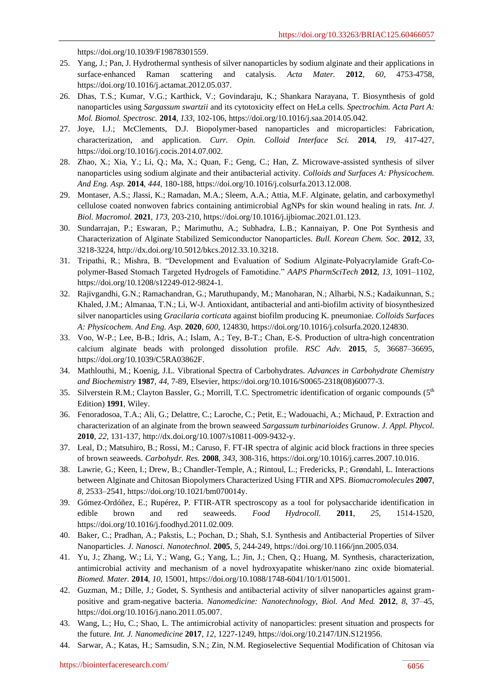[https://doi.org/10.1039/F19878301559.](https://doi.org/10.1039/F19878301559)

- 25. Yang, J.; Pan, J. Hydrothermal synthesis of silver nanoparticles by sodium alginate and their applications in surface-enhanced Raman scattering and catalysis. *Acta Mater.* **2012**, *60*, 4753-4758, [https://doi.org/10.1016/j.actamat.2012.05.037.](https://doi.org/10.1016/j.actamat.2012.05.037)
- 26. Dhas, T.S.; Kumar, V.G.; Karthick, V.; Govindaraju, K.; Shankara Narayana, T. Biosynthesis of gold nanoparticles using *Sargassum swartzii* and its cytotoxicity effect on HeLa cells. *Spectrochim. Acta Part A: Mol. Biomol. Spectrosc.* **2014**, *133*, 102-106[, https://doi.org/10.1016/j.saa.2014.05.042.](https://doi.org/10.1016/j.saa.2014.05.042)
- 27. Joye, I.J.; McClements, D.J. Biopolymer-based nanoparticles and microparticles: Fabrication, characterization, and application. *Curr. Opin. Colloid Interface Sci.* **2014**, *19*, 417-427, [https://doi.org/10.1016/j.cocis.2014.07.002.](https://doi.org/10.1016/j.cocis.2014.07.002)
- 28. Zhao, X.; Xia, Y.; Li, Q.; Ma, X.; Quan, F.; Geng, C.; Han, Z. Microwave-assisted synthesis of silver nanoparticles using sodium alginate and their antibacterial activity. *Colloids and Surfaces A: Physicochem. And Eng. Asp.* **2014**, *444*, 180-188[, https://doi.org/10.1016/j.colsurfa.2013.12.008.](https://doi.org/10.1016/j.colsurfa.2013.12.008)
- 29. Montaser, A.S.; Jlassi, K.; Ramadan, M.A.; Sleem, A.A.; Attia, M.F. Alginate, gelatin, and carboxymethyl cellulose coated nonwoven fabrics containing antimicrobial AgNPs for skin wound healing in rats. *Int. J. Biol. Macromol.* **2021**, *173*, 203-210, [https://doi.org/10.1016/j.ijbiomac.2021.01.123.](https://doi.org/10.1016/j.ijbiomac.2021.01.123)
- 30. Sundarrajan, P.; Eswaran, P.; Marimuthu, A.; Subhadra, L.B.; Kannaiyan, P. One Pot Synthesis and Characterization of Alginate Stabilized Semiconductor Nanoparticles. *Bull. Korean Chem. Soc.* **2012**, *33*, 3218-3224[, http://dx.doi.org/10.5012/bkcs.2012.33.10.3218.](http://dx.doi.org/10.5012/bkcs.2012.33.10.3218)
- 31. Tripathi, R.; Mishra, B. "Development and Evaluation of Sodium Alginate-Polyacrylamide Graft-Copolymer-Based Stomach Targeted Hydrogels of Famotidine." *AAPS PharmSciTech* **2012**, *13*, 1091–1102, [https://doi.org/10.1208/s12249-012-9824-1.](https://doi.org/10.1208/s12249-012-9824-1)
- 32. Rajivgandhi, G.N.; Ramachandran, G.; Maruthupandy, M.; Manoharan, N.; Alharbi, N.S.; Kadaikunnan, S.; Khaled, J.M.; Almanaa, T.N.; Li, W-J. Antioxidant, antibacterial and anti-biofilm activity of biosynthesized silver nanoparticles using *Gracilaria corticata* against biofilm producing K. pneumoniae. *Colloids Surfaces A: Physicochem. And Eng. Asp.* **2020**, *600*, 124830[, https://doi.org/10.1016/j.colsurfa.2020.124830.](https://doi.org/10.1016/j.colsurfa.2020.124830)
- 33. Voo, W-P.; Lee, B-B.; Idris, A.; Islam, A.; Tey, B-T.; Chan, E-S. Production of ultra-high concentration calcium alginate beads with prolonged dissolution profile. *RSC Adv.* **2015**, *5*, 36687–36695, [https://doi.org/10.1039/C5RA03862F.](https://doi.org/10.1039/C5RA03862F)
- 34. Mathlouthi, M.; Koenig, J.L. Vibrational Spectra of Carbohydrates. *Advances in Carbohydrate Chemistry and Biochemistry* **1987**, *44*, 7-89, Elsevier, [https://doi.org/10.1016/S0065-2318\(08\)60077-3.](https://doi.org/10.1016/S0065-2318(08)60077-3)
- 35. Silverstein R.M.; Clayton Bassler, G.; Morrill, T.C. Spectrometric identification of organic compounds  $(5<sup>th</sup>$ Edition) **1991**, Wiley.
- 36. Fenoradosoa, T.A.; Ali, G.; Delattre, C.; Laroche, C.; Petit, E.; Wadouachi, A.; Michaud, P. Extraction and characterization of an alginate from the brown seaweed *Sargassum turbinarioides* Grunow. *J. Appl. Phycol.* **2010**, *22*, 131-137[, http://dx.doi.org/10.1007/s10811-009-9432-y.](http://dx.doi.org/10.1007/s10811-009-9432-y)
- 37. Leal, D.; Matsuhiro, B.; Rossi, M.; Caruso, F. FT-IR spectra of alginic acid block fractions in three species of brown seaweeds. *Carbohydr. Res.* **2008**, *343*, 308-316[, https://doi.org/10.1016/j.carres.2007.10.016.](https://doi.org/10.1016/j.carres.2007.10.016)
- 38. Lawrie, G.; Keen, I.; Drew, B.; Chandler-Temple, A.; Rintoul, L.; Fredericks, P.; Grøndahl, L. Interactions between Alginate and Chitosan Biopolymers Characterized Using FTIR and XPS. *Biomacromolecules* **2007**, *8*, 2533–2541[, https://doi.org/10.1021/bm070014y.](https://doi.org/10.1021/bm070014y)
- 39. Gómez-Ordóñez, E.; Rupérez, P. FTIR-ATR spectroscopy as a tool for polysaccharide identification in edible brown and red seaweeds. *Food Hydrocoll.* **2011**, *25*, 1514-1520, [https://doi.org/10.1016/j.foodhyd.2011.02.009.](https://doi.org/10.1016/j.foodhyd.2011.02.009)
- 40. Baker, C.; Pradhan, A.; Pakstis, L.; Pochan, D.; Shah, S.I. Synthesis and Antibacterial Properties of Silver Nanoparticles. *J. Nanosci. Nanotechnol.* **2005**, *5*, 244-249, [https://doi.org/10.1166/jnn.2005.034.](https://doi.org/10.1166/jnn.2005.034)
- 41. Yu, J.; Zhang, W.; Li, Y.; Wang, G.; Yang, L.; Jin, J.; Chen, Q.; Huang, M. Synthesis, characterization, antimicrobial activity and mechanism of a novel hydroxyapatite whisker/nano zinc oxide biomaterial. *Biomed. Mater.* **2014**, *10*, 15001, [https://doi.org/10.1088/1748-6041/10/1/015001.](https://doi.org/10.1088/1748-6041/10/1/015001)
- 42. Guzman, M.; Dille, J.; Godet, S. Synthesis and antibacterial activity of silver nanoparticles against grampositive and gram-negative bacteria. *Nanomedicine: Nanotechnology, Biol. And Med.* **2012**, *8*, 37–45, [https://doi.org/10.1016/j.nano.2011.05.007.](https://doi.org/10.1016/j.nano.2011.05.007)
- 43. Wang, L.; Hu, C.; Shao, L. The antimicrobial activity of nanoparticles: present situation and prospects for the future. *Int. J. Nanomedicine* **2017**, *12*, 1227-1249, [https://doi.org/10.2147/IJN.S121956.](https://doi.org/10.2147/IJN.S121956)
- 44. Sarwar, A.; Katas, H.; Samsudin, S.N.; Zin, N.M. Regioselective Sequential Modification of Chitosan via